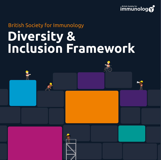

# **Diversity & Inclusion Framework** British Society for Immunology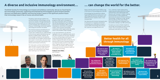ESSE XXXXX

Equity, diversity and inclusion (EDI) is vital to the future of immunology and of the BSI.

Immunology has the potential to deliver huge health benefits for society, but it can only change the world for the better with deliberate action towards a fairer, more inclusive field.

Our diversity and inclusion framework aims to showcase our renewed commitment to ramping up our EDI efforts to foster a culture within immunology that ensures fair treatment and opportunity for all.

To us, 'diversity' means appreciating, respecting and embracing all the unique characteristics that make people who they are, and 'inclusion' is about creating an environment in which people feel welcomed and valued. All those working in immunology, irrespective of age, gender, ethnicity and any of the other infinite factors that distinguish individuals from one another, belong in our BSI community.

We know that we must continue to make progress in EDI, and it is through this two-way conversation with our members that we have developed our first diversity and inclusion framework. With it, we are renewing our commitment to building a fairer, more inclusive immunology community in which opportunities are within reach to the broadest range of people.

To realise our vision of better health for all through immunology we need to build a fairer, more inclusive immunology community, with and for our members.

**… can change the world for the better.**

| Defients to global rieatur. However, for<br>immunology to unleash its full potential<br>and maintain the incredible transformation<br>we've seen in recent years, we must move<br>forward in our journey to becoming a truly<br>diverse and inclusive community.<br>For many years, we have worked hard to<br>open the doors of immunology and show<br>that it can be a fulfilling career path for<br>everyone. Our starting point has always<br>been listening to our community. | witt serve as pittars for the future. Duituing<br>on those, we have begun working on focal<br>areas presented here and on ways to<br>further integrate EDI within the Society. Our<br>diversity and inclusion framework begins<br>our long-term plan of action in this area<br>which, together with the support from our<br>community, will enable a fair and equal<br>working environment and better health for<br>all through immunology.<br>Professor Arne Akbar,<br><b>BSI President</b><br>Dr Doug Brown,<br><b>BSI Chief Executive</b><br>$\bigcirc$ |                                                                                          |                                                                                          | <b>Better health for all</b><br>through immunology                                                |                                                                  |                                                                         |                                                                            |
|-----------------------------------------------------------------------------------------------------------------------------------------------------------------------------------------------------------------------------------------------------------------------------------------------------------------------------------------------------------------------------------------------------------------------------------------------------------------------------------|------------------------------------------------------------------------------------------------------------------------------------------------------------------------------------------------------------------------------------------------------------------------------------------------------------------------------------------------------------------------------------------------------------------------------------------------------------------------------------------------------------------------------------------------------------|------------------------------------------------------------------------------------------|------------------------------------------------------------------------------------------|---------------------------------------------------------------------------------------------------|------------------------------------------------------------------|-------------------------------------------------------------------------|----------------------------------------------------------------------------|
|                                                                                                                                                                                                                                                                                                                                                                                                                                                                                   |                                                                                                                                                                                                                                                                                                                                                                                                                                                                                                                                                            |                                                                                          | We want to show<br>that immunology<br>can be a fulfilling<br>career path for<br>everyone | We want to<br>achieve a fair and<br>equal working<br>environment,<br>accessible to all            | We believe in<br>transparency<br>around EDI data<br>and progress |                                                                         |                                                                            |
|                                                                                                                                                                                                                                                                                                                                                                                                                                                                                   |                                                                                                                                                                                                                                                                                                                                                                                                                                                                                                                                                            |                                                                                          | We collaborate<br>with partners to<br>accelerate progress                                | We support<br>our members to<br>overcome the<br>challenges they<br>face in their<br>working lives | We empower the<br>next generation of<br><b>immunologists</b>     | We support our<br>members in turning<br>their EDI ideas into<br>reality | We celebrate the<br>achievements of BSI<br>members from all<br>backgrounds |
|                                                                                                                                                                                                                                                                                                                                                                                                                                                                                   |                                                                                                                                                                                                                                                                                                                                                                                                                                                                                                                                                            | We provide a<br>safe and inclusive<br>platform for all<br>those working in<br>immunology | We work<br>hard to ensure<br>opportunities are<br>within reach to all                    | We are passionate<br>about raising<br>diverse voices in<br>immunology                             | We believe in two-<br>way conversations<br>with our community    | We know that<br><b>EDI</b> is everyone's<br>responsibility              |                                                                            |

XXXX IXI

# **beta** all **blogy**

Providing a safe and open platform for all those working in immunology is at the core of our mission. Through enacting the diversity and inclusion goals set out in our current strategic plan, we believe we can bring our immunology community together and change the world for the better.

The immense passion and dedication we see in all of our members has played a critical role in advancing our understanding of the immune system and delivering real benefits to global health. However, for immunology to unleash its full potential and maintain the incredible transformation we've seen in recent years, we must move forward in our journey to becoming a truly diverse and inclusive community.

# **A diverse and inclusive immunology environment…**

The British Society for Immunology is an inclusive and ambitious community. We act as a focal hub for the immunology community, supporting and empowering immunologists to drive forward scientific discovery and application together and ensuring society is aware of the significant positive impact that immunology research has on human and animal health.

> In our new framework, you will find highlights from our established work which will serve as pillars for the future. Building on those, we have begun working on focal areas presented here and on ways to further integrate EDI within the Society. Our diversity and inclusion framework begins our long-term plan of action in this area which, together with the support from our community, will enable a fair and equal working environment and better health for all through immunology.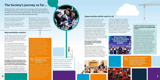Building a fairer, more inclusive immunology community has been an important focus for us for many years. We work with and for our members to proactively integrate equity, diversity and inclusion in all aspects of our work, both internally and externally.

We strive for EDI in many ways, some of which we have highlighted in this document. However, we know we must do more.

# **The Society's journey so far…**

Our aim is to foster a culture within the field of immunology that ensures fair treatment and opportunity for all.

By aligning our current activities with our EDI goals and collaborating with our members to develop an effective plan of action, we commit to ramping up our EDI efforts. Here, we showcase some of the existing projects we will build on with this framework and celebrate the achievements and progress made to date.



# **Representation matters**

We aim for our committees to represent a diverse range of backgrounds and have individuals from different career grades, immunology sectors and locations in the UK.

The BSI is here to represent all those who work in immunology, irrespective of age, gender, ethnicity and any of the other infinite factors that distinguish individuals from one another.

Our committees are vital in leading our work. They make numerous decisions about how the Society is run, what activities we focus on and what support we provide to members. We always strive for diversity within our committees to make sure that everyone's views are represented. We encourage nominations from across the spectrum of our membership and ensure voting is accessible so that representatives are elected fairly.



# **Opportunities within reach to all**

Our events programme seeks to unite our membership in their passion for immunology. Through a variety of meetings, both virtual and in-person, we facilitate exchanging ideas, establishing collaborations and finding inspiration.

We are proud to offer an opportunity for immunologists to come together at our flagship event, the BSI Congress. During the pandemic, we pivoted to offer a fully virtual conference in 2020 and a hybrid Congress in 2021 to enable the immunology community to continue to connect and have meaningful interactions.

We have worked hard to achieve the current level of diversity in our committees, but we know we need to do more. Diversity is about more than just gender. We know that it is only by including people with different backgrounds, experiences and perspectives that we can facilitate effective decision-making and problemsolving to drive innovation. This is essential to the work of the BSI and our committees.

**We will widen representation beyond gender in our committees, events and other activities. FUTURE IM**<sup>S</sup>

### **Ensuring that the BSI Congress is accessible to all is extremely important to us.**

By making this event accessible to as wide an audience as possible, we ensure everyone can make the most of the opportunities available. For example, making vital connections, presenting and getting feedback from peers can lead to new projects, papers and collaborations, all advancing the careers of our delegates.



A particular highlight of our Congress is the 'Bright Sparks in Immunology' initiative. We offer PhD students and postdocs the chance to showcase and discuss their research ideas in a friendly atmosphere, as well as providing them with the experience of presenting their work to a large audience. This is incredibly important to our mission to support the next generation of immunologists.



# **In 2019, we rolled out new initiatives to further increase the accessibility of BSI Congress.**

ESSE XIXXXX

We established a carers' grant to enable those with carer needs to attend. The scheme helps cover the cost of care arrangements during the meeting, for example, to look after children or older members of the family. We were proud to award ten grants in this pilot scheme which we continue to offer at future Congresses and have subsequently expanded to our Regional & Affinity Group conferences. At Congress, we have also trialled providing significantly subsidised crèche facilities to care for children in addition to other provisions already in place, such as breastfeeding facilities, prayer rooms and a quiet space.

**We will continue to keep diversity and inclusion at the forefront when planning our events and activities to ensure they are accessible to diverse audiences. Find out more on page 11.**



*"BSI has provided an excellent series of events and had an excellent public profile in the past year, providing great support for the membership."*



**4 5** All applications for opportunities within roles, committees and other volunteering positions, are treated fairly and on the basis of relevant merits and abilities. We will do our utmost to ensure we attract candidates from a wide demographic spectrum by reviewing and further focusing our recruitment efforts on equity, diversity and inclusion.

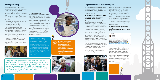# **Raising visibility**

We are passionate about raising diverse voices in immunology. The BSI recognises, supports and champions different communities by providing a platform for their ideas, experiences and achievements. By giving underrepresented groups a loud voice, we can learn and better appreciate the unique issues faced by others.

# **#BlackInImmuno**

In November 2020, we supported Black In Immuno Week, a week-long celebration organised by a collective of Black immunologists and allies to showcase, amplify, support and connect Black immunologists. The Society makes regular donations to aid the planning and promotion of the week and future activities such as the development of 'Black In Immuno Hub', the first database of worldwide Black researchers in immunology.

We also contributed by raising the voice of Black immunologists from the BSI community by sharing their work and experiences through short profiles on our social media channels.



# **#WomenInImmunology**

For many years we have supported the International Women's Day initiative. To mark this day in March 2021, we developed a social media campaign to recognise and celebrate women's contributions in the field of immunology with a spotlight of some of the editors of our official journals.

> **F** $\bigcirc$ **IM**<sup>2</sup>**E**

**R** 

Building on the communications from previous years, we created animated graphics highlighting why they chose a career in science, why gender equity in science is important to them and their advice for women and girls looking to have a career in science.

The BSI is not alone in the fight for equity within the scientific community. By working together with our members and other organisations we aim to accelerate progress in this area.

*"Initially I was not really aware of Black In Immuno Week, so I'm grateful to the BSI for highlighting and promoting this event. It is becoming clearer that there is a need to highlight the contribution of underrepresented groups within STEM, so Black In Immuno Week provided an opportunity to promote, inspire and to engage with Black immunologists all around the world."*

We support external initiatives such as the All-Party Parliamentary Group on Diversity and Inclusion in STEM's inquiry on 'Equity in the STEM workforce'. As an official sponsor of the group, we consulted with our membership's Forum on the challenges faced by underrepresented communities in joining and staying in the UK's STEM workforce. Our response set out key recommendations to promote the inclusion and progression of these communities in our sector, including better data collection and COVID-19 recovery, which helped shape the report published in July 2021.

We are also signatories of the Royal Society of Chemistry's joint commitment for action on inclusion and diversity in publishing, which brings together 42 publishing organisations in a collaborative effort to drive positive culture change within scholarly publishing.



Dr Donald Palmer, BSI Education & Careers Secretary (2020–2024)



We are members of the Royal College of Physicians' 'Inequalities in Health Alliance', a coalition of organisations who campaign for a cross-government strategy to reduce health inequalities.

In addition to specific campaigns, we are committed to embedding diversity and inclusion in all of our communications. We use inclusive language based on best practice from specialist organisations, choose magery that accurately represents our diverse communities and share our activities through a range of channels to promote and attract diversity while inspiring current and future generations.

**We will continue to show that immunology can represent a fulfilling career path for everyone, while recognising the contributions and challenges of underrepresented communities. Find out more on page 9.**

# **Together towards a common goal**

### **We collaborate with others in the sector to achieve a fair and equal working environment, accessible to all.**

In addition, we are part of the Royal Society of Biology's EDI working group where we meet regularly with other societies to discuss best practice for fostering increased diversity and ways of working together as a life science community to ensure an inclusive working environment.

**We know that many of our members actively work towards diversity and inclusion, and we strive to support their efforts.** 



To further encourage and support our members' endeavours, in April 2021 we launched a scheme to fund activities and events that promote diversity and inclusion across immunology and the wider biomedical sciences. We were proud to award seven ambitious and inspiring activities with our first round of the BSI Equality, Diversity and Inclusion activity grant scheme. Turn to page 10 for more information.



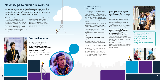# **Taking positive action**

In the move towards a fairer and more inclusive immunology community, meaningful change requires action.

# **We commit to tackling inequity and fostering a culture within immunology that ensures fair treatment and opportunity for all through deliberate action.**

In the next few pages, we outline some of the ways in which we will step up to this challenge.

# **Next steps to fulfil our mission**

Immunology needs more diversity and inclusion to continue to thrive. Embedding equity, diversity and inclusion in all our activities is one of the cornerstones of our new five-year strategic plan to drive scientific discovery and to make a positive impact on health.

# our community

The BSI represents a strong and vibrant community of immunologists from different socio-economic backgrounds. demographics, career grades, sectors and geographical locations. There is a huge amount of diversity in our membership that we want to further recognise, support and celebrate.

Successful mentoring meets the unique needs of individual mentees. To pave the way towards greater retention of underrepresented groups through the career pipeline, we will establish a bespoke mentoring initiative to support immunology MSc students from diverse backgrounds.

A crucial part of our mission is to enhance collaboration within immunology and establish fruitful connections among our members. Our aim is to provide a safe and inclusive platform for all immunologists to engage with others and share alternate viewpoints and experiences, all of which contributes to personal and professional growth.

## **Mentoring plays an important role in supporting career development.**

Our popular mentoring scheme has received exceptional feedback from both mentors and mentees. It is based on a two-way relationship between early career immunologists and more senior members working in different institutions. This is an important differentiating factor from other mentoring programmes as it facilitates openness and transparency when sharing different working practices, in turn building a more positive research culture.

# **With our mentoring programme, we aim to equip the next generation of immunologists with a toolkit to navigate and advance through the career pipeline.**

# **Increasing networking opportunities is also an important avenue for creating an inclusive and uplifting platform**

**for immunologists.** Working with our committees and Regional & Affinity Groups, we will identify opportunities, develop networks and host events to enable underrepresented groups to interact and form connections.

Through these initiatives, we hope to empower and elevate diverse communities and play our part in removing obstacles in career progression.



*"It has expanded my network, provided me with new and fresh perspectives and enhanced my professional development."*

Dr Julie Worrell, mentee in the BSI 2020 mentoring scheme

With this framework, we are renewing our commitment to building a fairer, more inclusive immunology community. Our starting point has, and will continue to be, an open and honest two-way dialogue with our members about the issues they face in their lives as immunologists. Through this continuous communication, we have begun setting a long-term plan of action for diversity and inclusion at the BSI.

EDI covers a vast range of interconnected areas that are vital to the future of immunology. Here, we highlight some of our future focal areas that will build on our current activities and the wellestablished lines of communication with our membership.

# Careers at Prolmmune

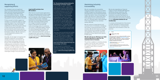# Recognising & supporting efforts

Our members carry out significant work to increase diversity and create a fairer and more inclusive environment for immunology. These efforts don't go unnoticed by the Society – the BSI tremendously values the time and energy they spend to move the needle in this area.

Firstly, we want to further support our members in turning their ideas to create a positive impact in our community into reality. With this in mind, we recently established our EDI activity grant scheme to help fund activities and events that promote diversity and inclusion across the immunology community and the wider biomedical sciences. We will continue to run and expand this scheme in the coming years.

Secondly, we are eager to recognise and highlight exceptional immunologists actively promoting a more diverse, fair and inclusive immunology community. As part of the new BSI award schemes celebrating the contributions of diverse members to different areas, we will reveal a new prize for BSI members for their EDI work, encouraging our community to continue removing barriers and driving this meaningful change in this area forward.

After the first round of grant applications. we were immensely proud to fund a range of ambitious and inspiring activities that aim to accelerate culture change, promote visibility of EDI and solve challenges faced by the immunology community and the wider world. We provided funding for a range of initiatives including a project to decolonise and diversify some immunology units on a university curriculum, a dedicated support network for improving psychological safety, and an Honoraria for Black speakers and other underrepresented ethnic groups to recognise their work outside of research. Find out more about the projects funded in the pilot scheme here: www.immunology. org/BSI-EDI-grant.



## **Inspiring EDI activities from BSI members**

We are also expanding our financial support to those attending BSI Regional and Affinity Group conferences. We are proud to be making a significant investment to provide travel grants to attend these events and cover the cost of care arrangements during those meetings through **new grant schemes for our membership**.

# Maximising inclusivity & accessibility

We will consolidate the accessibility measures already in place for our events and BSI Congress so that different voices and experiences can be shared and heard louder than before. Every immunologist, no matter who they are or where they come from, belongs in our community and as part of it, should be able to take advantage of the many benefits of our activities without difficulty.

We look forward to funding more initiatives to accelerate culture change within immunology. More details on the scheme: www.immunology.org/BSI-EDIgrant.

We will continue to keep diversity and inclusion front-of-mind when considering the location, timing and facilities for BSI activities. We will work hard to ensure that event facilities are accessible for people with disabilities. We will also review the possibility of future hybrid online options for BSI events.

### **We will scale up our offering in our wider events programme to aspire for the maximum level of inclusion.**

This will be in addition to initiatives already in place, such as the carers' grant for BSI Congress delegates and our grants to support travel costs to scientific conferences.



It is only by removing barriers that prevent or hinder attendance of diverse groups that we can ensure our meetings drive collaboration and innovation to their full potential.



From the second it was mentioned, the BSI have been incredibly open to helping us @TheSTEMvillage to platform LGBTQ+ researchers. They're a society that really mean it when they say they want to promote diversity, equality and inclusion

(1981 Congress & Events @bsicongress - 28 Nov 2021) We hope you all enjoy #BSI211

If you have any feedback or any ideas what more we could do to promote Requality, Rdiversity & Rinclusion in future years, we'd love to hear from you. Tweet us or email congress@immunology.org **Owner this through** 



immunolog V





# **The 'Decolonising and diversifying the immunology curriculum' project**

In the summer of 2021, supported by a BSI Equality, Diversity and Inclusion activity grant, Dr Bronwen Burton and Dr Caroline McKinnon ran their first decolonising and diversifying project on the biomedical curricula at the University of Bristol. They employed undergraduate students to review material from Year 1 and Year 2 units with significant immunology content with the aim to identify opportunities to diversity the content and highlight areas of good practice. The detailed reports produced led to thoughtful reflection and discussions with the university staff resulting in constructive changes to the curriculum.

They have now secured external funding to expand this project to review further units. The BSI is proud to support this important project that will address structural inequalities in immunology and lead to long-term positive change for the next generation. Find out more: www.immunology.org/decolonising-theimmunology-curriculum.

**11**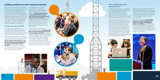# **Building a platform to learn and grow together**

We commit to collaborating closely with our members and wider community to raise the bar for EDI in immunology based on open and honest two-way conversations. Our aim is to engage with people from different backgrounds, experiences and perspectives to support innovation and research through a diversity of ideas. Including more diverse voices in every aspect of the organisation will enable us to better understand and represent the community's needs and increase excellence in immunology.

# In particular within the BSI…

It is vital that EDI is embedded into every aspect of the BSI's work and that the responsibility to build a fairer, more inclusive immunology community is shared by all members and staff of the Society.

Diversity and inclusion will be considered from start to end of every activity. To further incorporate EDI into our way of working, **we will establish diversity leads in every BSI committee and provide appropriate training for Society representatives** 

**and staff.** We can only enact a positive shift in organisational culture if everyone understands their duty in supporting diversity and inclusion at the BSI.

We will accelerate progress and enhance our EDI efforts by working in partnership with committed organisations and initiatives that share our values and objectives. Our current partners are instrumental in the delivery of our mission, and they span different areas of our work.

A crucial aspect for successful diversity policies and practices within the organisation is proactive communication, with and for our members. **We will ensure that there are functional systems in place to seek and understand the opinions and perspectives of our members.** This will include running EDI focus groups with membership to inform our activities and maintaining a focus on EDI issues at our Forum, the Society's 'think tank' representing all sections of our membership.

Through the BSI's wide-reaching communication channels, **we will amplify diverse and underrepresented voices in the immunology community,** showcasing and celebrating their work while providing a platform to highlight their lived experiences and the barriers they face. Our efforts to spread their stories and encourage our members to share them with their networks will turn a spotlight on these vital topics, enabling authentic discourse and meaningful change within our community.



# And in collaboration with valued partners…

Looking at our policy work, we are a sponsor of the important work of the All-Party Parliamentary Group on Diversity & Inclusion in STEM. In publishing, we cement our commitment for action on inclusion and diversity through the Royal Society of Chemistry's collaboration of over 40 publishing organisations. We are also proud strategic partners of the Royal Society for Biology, participating in their EDI working group as well as joining up on public engagement and careers.



Partnership work is an essential catalyst of EDI. Strong collaborations bring everyone a step closer to their purpose by combining resources, broadening reach and learning from one another. Together we can achieve a fair and equal working environment, accessible to all.

Over the coming years, **we will identify new partners with similar goals and foster new strategic relationships to achieve our objectives.** Importantly, we will continue to support initiatives such as International Women's Day and Black In Immuno Week, and proactively get involved in other endeavours that instigate positive change in immunology.

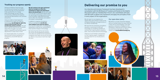# **Tracking our progress openly**

Using an evidence-based approach to maximise the impact we make for immunology, **we will begin by capturing relevant diversity data from our membership and key activities.** This will help us identify where we are successful, where there are gaps in our work, address inequalities and facilitate specific adjustments in areas most in need.

Setting an ambitious long-term plan for diversity and inclusion at the BSI is only the first step. For this framework to be a positive force for change within immunology, we also commit to monitoring, reviewing and regularly revisiting the effectiveness of our activities and policies.

An indispensable pillar of a productive diversity and inclusion framework is transparency around EDI data and progress.



**We will continue to be open and honest about our progress on diversity – reviewing our impact and reporting on data on an annual basis.** We will also make sure that EDI is a prominent feature within our upcoming immunology careers review, so we can better understand how these factors affect the challenges and enablers

> We will report on our progress on a regular basis and continue to listen to the emerging challenges and opportunities of our diverse membership.

of a career in immunology.

In addition to ongoing consultations with our membership, **we will also seek feedback from external experts**, ensuring that independent, knowledgeable assessment is fed into our commitment to

We believe in an open and honest dialogue with our members about the issues they face in their lives as immunologists. If you have questions, comments or feedback on this framework or diversity and inclusion matters, we would love to hear from you. Please contact us at **inclusion@immunology.org**.



enact positive change in immunology. By measuring how well we are tracing the course set and gauging the distance from where we started, we will avoid being complacent and make sure we are focusing our efforts on any areas of work that might



fall short.

Our diversity and inclusion framework has been developed in consultation with the BSI Board of Trustees and thanks to the helpful discussions with our membership's Forum. Our committees will work with BSI staff to deliver this framework and apply the principles of EDI in every aspect of the organisation.

# **Delivering our promise to you**

We hope that this framework strengthens everyone's commitment to EDI and encourages our wonderful members to continue their inspiring efforts towards a fairer, more inclusive world of immunology.

Thank you to all members and partners for their ongoing support, engagement and enthusiasm for our Society and its activities.





# Our open-door policy



**14 15**